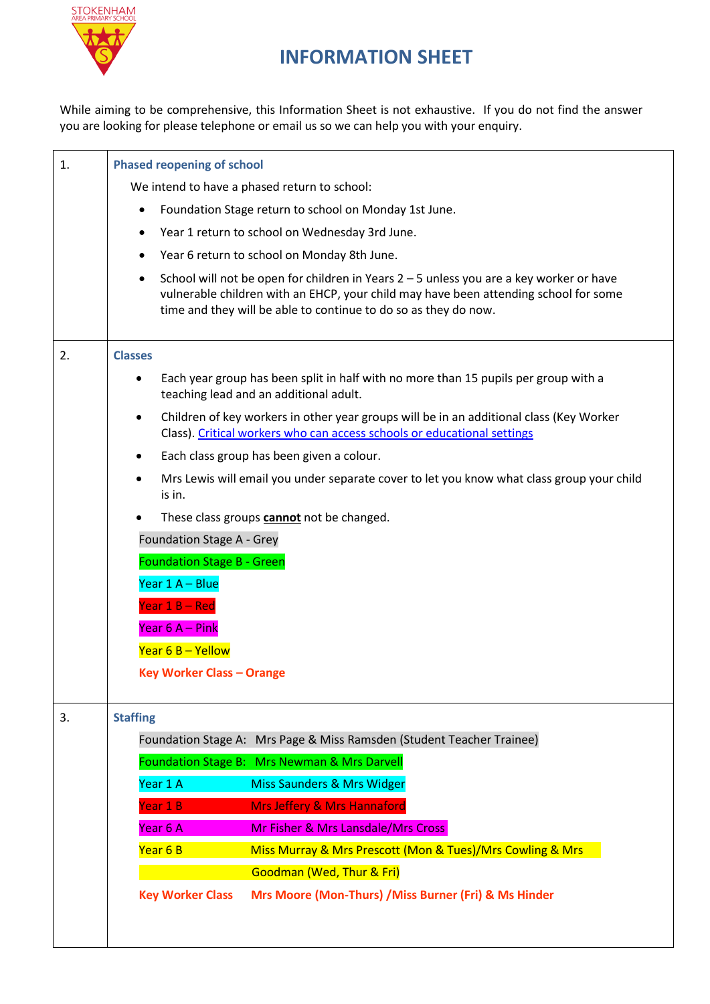

## **INFORMATION SHEET**

While aiming to be comprehensive, this Information Sheet is not exhaustive. If you do not find the answer you are looking for please telephone or email us so we can help you with your enquiry.

| 1. | <b>Phased reopening of school</b>                                                                                                                                                                                                                                 |
|----|-------------------------------------------------------------------------------------------------------------------------------------------------------------------------------------------------------------------------------------------------------------------|
|    | We intend to have a phased return to school:                                                                                                                                                                                                                      |
|    | Foundation Stage return to school on Monday 1st June.<br>$\bullet$                                                                                                                                                                                                |
|    | Year 1 return to school on Wednesday 3rd June.<br>٠                                                                                                                                                                                                               |
|    | Year 6 return to school on Monday 8th June.<br>$\bullet$                                                                                                                                                                                                          |
|    | School will not be open for children in Years $2 - 5$ unless you are a key worker or have<br>$\bullet$<br>vulnerable children with an EHCP, your child may have been attending school for some<br>time and they will be able to continue to do so as they do now. |
| 2. | <b>Classes</b>                                                                                                                                                                                                                                                    |
|    | Each year group has been split in half with no more than 15 pupils per group with a<br>$\bullet$<br>teaching lead and an additional adult.                                                                                                                        |
|    | Children of key workers in other year groups will be in an additional class (Key Worker<br>٠<br>Class). Critical workers who can access schools or educational settings                                                                                           |
|    | Each class group has been given a colour.<br>$\bullet$                                                                                                                                                                                                            |
|    | Mrs Lewis will email you under separate cover to let you know what class group your child<br>$\bullet$<br>is in.                                                                                                                                                  |
|    | These class groups cannot not be changed.                                                                                                                                                                                                                         |
|    | Foundation Stage A - Grey                                                                                                                                                                                                                                         |
|    | <b>Foundation Stage B - Green</b>                                                                                                                                                                                                                                 |
|    | Year 1 A - Blue                                                                                                                                                                                                                                                   |
|    | Year 1 B - Red                                                                                                                                                                                                                                                    |
|    | Year 6 A - Pink                                                                                                                                                                                                                                                   |
|    | Year 6 B - Yellow                                                                                                                                                                                                                                                 |
|    | <b>Key Worker Class - Orange</b>                                                                                                                                                                                                                                  |
| 3. | <b>Staffing</b>                                                                                                                                                                                                                                                   |
|    | Foundation Stage A: Mrs Page & Miss Ramsden (Student Teacher Trainee)                                                                                                                                                                                             |
|    | Foundation Stage B: Mrs Newman & Mrs Darvell                                                                                                                                                                                                                      |
|    | Year 1 A<br>Miss Saunders & Mrs Widger                                                                                                                                                                                                                            |
|    | Year 1B<br><b>Mrs Jeffery &amp; Mrs Hannaford</b>                                                                                                                                                                                                                 |
|    | Mr Fisher & Mrs Lansdale/Mrs Cross<br>Year 6 A                                                                                                                                                                                                                    |
|    | Year 6 B<br>Miss Murray & Mrs Prescott (Mon & Tues)/Mrs Cowling & Mrs                                                                                                                                                                                             |
|    | <b>Goodman (Wed, Thur &amp; Fri)</b>                                                                                                                                                                                                                              |
|    | <b>Key Worker Class</b><br>Mrs Moore (Mon-Thurs) / Miss Burner (Fri) & Ms Hinder                                                                                                                                                                                  |
|    |                                                                                                                                                                                                                                                                   |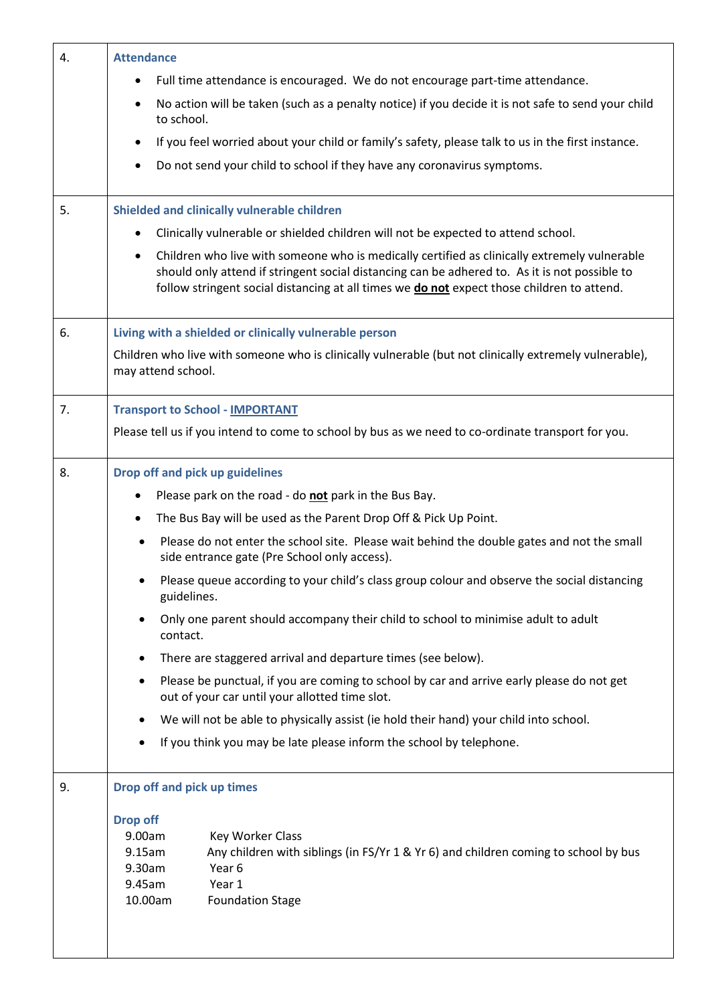| 4. | <b>Attendance</b>                                                                                                                                                                                                                                                                                               |
|----|-----------------------------------------------------------------------------------------------------------------------------------------------------------------------------------------------------------------------------------------------------------------------------------------------------------------|
|    | Full time attendance is encouraged. We do not encourage part-time attendance.<br>$\bullet$                                                                                                                                                                                                                      |
|    | No action will be taken (such as a penalty notice) if you decide it is not safe to send your child<br>٠<br>to school.                                                                                                                                                                                           |
|    | If you feel worried about your child or family's safety, please talk to us in the first instance.<br>$\bullet$                                                                                                                                                                                                  |
|    | Do not send your child to school if they have any coronavirus symptoms.<br>$\bullet$                                                                                                                                                                                                                            |
| 5. | Shielded and clinically vulnerable children                                                                                                                                                                                                                                                                     |
|    | Clinically vulnerable or shielded children will not be expected to attend school.<br>$\bullet$                                                                                                                                                                                                                  |
|    | Children who live with someone who is medically certified as clinically extremely vulnerable<br>$\bullet$<br>should only attend if stringent social distancing can be adhered to. As it is not possible to<br>follow stringent social distancing at all times we <b>do not</b> expect those children to attend. |
| 6. | Living with a shielded or clinically vulnerable person                                                                                                                                                                                                                                                          |
|    | Children who live with someone who is clinically vulnerable (but not clinically extremely vulnerable),<br>may attend school.                                                                                                                                                                                    |
| 7. | <b>Transport to School - IMPORTANT</b>                                                                                                                                                                                                                                                                          |
|    | Please tell us if you intend to come to school by bus as we need to co-ordinate transport for you.                                                                                                                                                                                                              |
| 8. | Drop off and pick up guidelines                                                                                                                                                                                                                                                                                 |
|    | Please park on the road - do not park in the Bus Bay.<br>$\bullet$                                                                                                                                                                                                                                              |
|    | The Bus Bay will be used as the Parent Drop Off & Pick Up Point.<br>٠                                                                                                                                                                                                                                           |
|    | Please do not enter the school site. Please wait behind the double gates and not the small<br>side entrance gate (Pre School only access).                                                                                                                                                                      |
|    | Please queue according to your child's class group colour and observe the social distancing<br>guidelines.                                                                                                                                                                                                      |
|    | Only one parent should accompany their child to school to minimise adult to adult<br>contact.                                                                                                                                                                                                                   |
|    | There are staggered arrival and departure times (see below).<br>$\bullet$                                                                                                                                                                                                                                       |
|    | Please be punctual, if you are coming to school by car and arrive early please do not get<br>out of your car until your allotted time slot.                                                                                                                                                                     |
|    | We will not be able to physically assist (ie hold their hand) your child into school.                                                                                                                                                                                                                           |
|    | If you think you may be late please inform the school by telephone.                                                                                                                                                                                                                                             |
| 9. | Drop off and pick up times                                                                                                                                                                                                                                                                                      |
|    | <b>Drop off</b><br>9.00am<br><b>Key Worker Class</b><br>Any children with siblings (in FS/Yr 1 & Yr 6) and children coming to school by bus<br>9.15am<br>Year 6<br>9.30am<br>9.45am<br>Year 1<br>10.00am<br><b>Foundation Stage</b>                                                                             |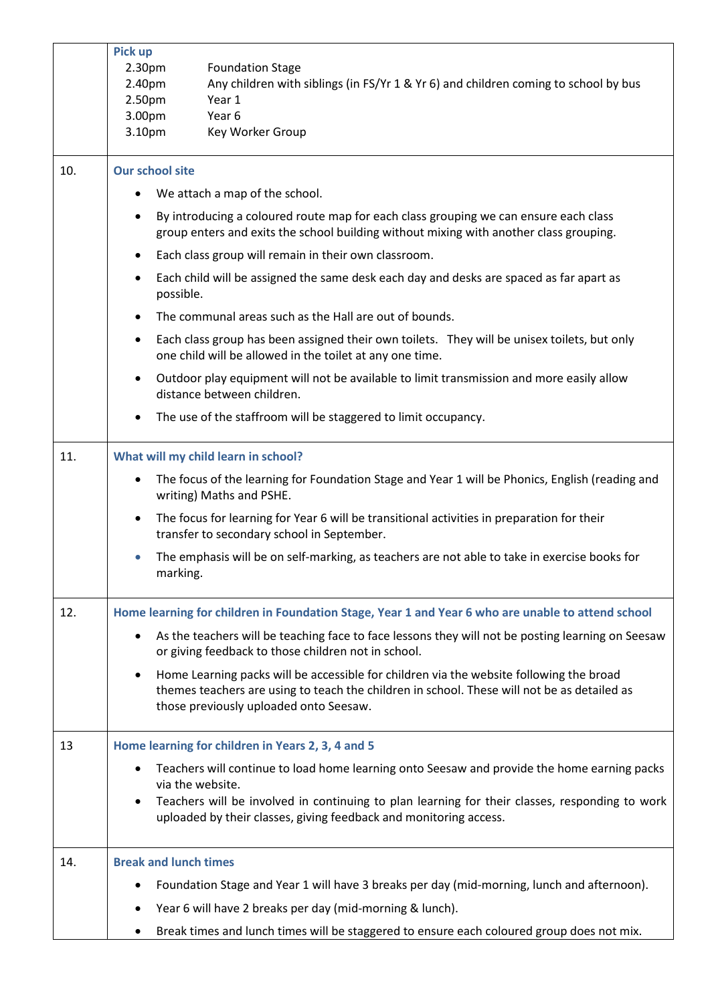|     | <b>Pick up</b>                                                                                                                                                                                                                        |
|-----|---------------------------------------------------------------------------------------------------------------------------------------------------------------------------------------------------------------------------------------|
|     | 2.30pm<br><b>Foundation Stage</b>                                                                                                                                                                                                     |
|     | Any children with siblings (in FS/Yr 1 & Yr 6) and children coming to school by bus<br>2.40pm                                                                                                                                         |
|     | 2.50 <sub>pm</sub><br>Year 1<br>Year 6<br>3.00pm                                                                                                                                                                                      |
|     | Key Worker Group<br>3.10pm                                                                                                                                                                                                            |
|     |                                                                                                                                                                                                                                       |
| 10. | <b>Our school site</b>                                                                                                                                                                                                                |
|     | We attach a map of the school.<br>٠                                                                                                                                                                                                   |
|     | By introducing a coloured route map for each class grouping we can ensure each class<br>٠<br>group enters and exits the school building without mixing with another class grouping.                                                   |
|     | Each class group will remain in their own classroom.                                                                                                                                                                                  |
|     | Each child will be assigned the same desk each day and desks are spaced as far apart as<br>٠<br>possible.                                                                                                                             |
|     | The communal areas such as the Hall are out of bounds.<br>$\bullet$                                                                                                                                                                   |
|     | Each class group has been assigned their own toilets. They will be unisex toilets, but only<br>٠<br>one child will be allowed in the toilet at any one time.                                                                          |
|     | Outdoor play equipment will not be available to limit transmission and more easily allow<br>$\bullet$<br>distance between children.                                                                                                   |
|     | The use of the staffroom will be staggered to limit occupancy.                                                                                                                                                                        |
| 11. | What will my child learn in school?                                                                                                                                                                                                   |
|     | The focus of the learning for Foundation Stage and Year 1 will be Phonics, English (reading and<br>٠<br>writing) Maths and PSHE.                                                                                                      |
|     | The focus for learning for Year 6 will be transitional activities in preparation for their<br>٠<br>transfer to secondary school in September.                                                                                         |
|     | The emphasis will be on self-marking, as teachers are not able to take in exercise books for<br>marking.                                                                                                                              |
| 12. | Home learning for children in Foundation Stage, Year 1 and Year 6 who are unable to attend school                                                                                                                                     |
|     | As the teachers will be teaching face to face lessons they will not be posting learning on Seesaw<br>or giving feedback to those children not in school.                                                                              |
|     | Home Learning packs will be accessible for children via the website following the broad<br>٠<br>themes teachers are using to teach the children in school. These will not be as detailed as<br>those previously uploaded onto Seesaw. |
| 13  | Home learning for children in Years 2, 3, 4 and 5                                                                                                                                                                                     |
|     | Teachers will continue to load home learning onto Seesaw and provide the home earning packs<br>via the website.                                                                                                                       |
|     | Teachers will be involved in continuing to plan learning for their classes, responding to work<br>uploaded by their classes, giving feedback and monitoring access.                                                                   |
| 14. | <b>Break and lunch times</b>                                                                                                                                                                                                          |
|     | Foundation Stage and Year 1 will have 3 breaks per day (mid-morning, lunch and afternoon).<br>٠                                                                                                                                       |
|     | Year 6 will have 2 breaks per day (mid-morning & lunch).<br>٠                                                                                                                                                                         |
|     | Break times and lunch times will be staggered to ensure each coloured group does not mix.                                                                                                                                             |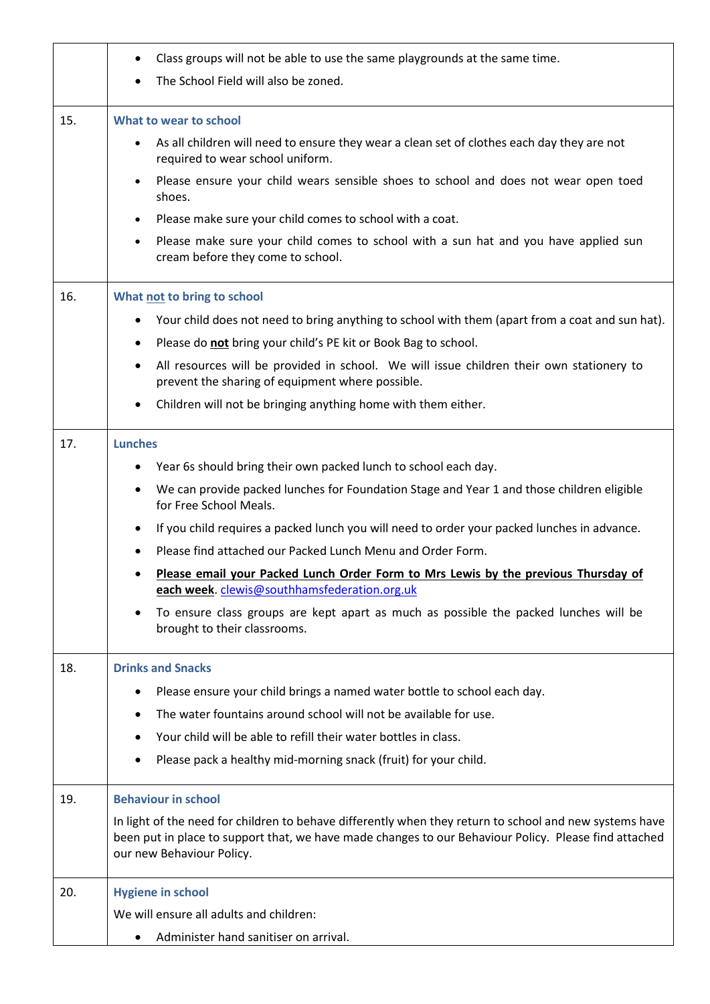|     | Class groups will not be able to use the same playgrounds at the same time.                                                                                                                                                                   |
|-----|-----------------------------------------------------------------------------------------------------------------------------------------------------------------------------------------------------------------------------------------------|
|     | The School Field will also be zoned.                                                                                                                                                                                                          |
|     |                                                                                                                                                                                                                                               |
| 15. | What to wear to school                                                                                                                                                                                                                        |
|     | As all children will need to ensure they wear a clean set of clothes each day they are not<br>required to wear school uniform.                                                                                                                |
|     | Please ensure your child wears sensible shoes to school and does not wear open toed<br>shoes.                                                                                                                                                 |
|     | Please make sure your child comes to school with a coat.<br>$\bullet$                                                                                                                                                                         |
|     | Please make sure your child comes to school with a sun hat and you have applied sun<br>cream before they come to school.                                                                                                                      |
| 16. | What not to bring to school                                                                                                                                                                                                                   |
|     | Your child does not need to bring anything to school with them (apart from a coat and sun hat).<br>٠                                                                                                                                          |
|     | Please do not bring your child's PE kit or Book Bag to school.<br>٠                                                                                                                                                                           |
|     | All resources will be provided in school. We will issue children their own stationery to<br>prevent the sharing of equipment where possible.                                                                                                  |
|     | Children will not be bringing anything home with them either.                                                                                                                                                                                 |
| 17. | <b>Lunches</b>                                                                                                                                                                                                                                |
|     | Year 6s should bring their own packed lunch to school each day.<br>٠                                                                                                                                                                          |
|     | We can provide packed lunches for Foundation Stage and Year 1 and those children eligible<br>for Free School Meals.                                                                                                                           |
|     | If you child requires a packed lunch you will need to order your packed lunches in advance.                                                                                                                                                   |
|     | Please find attached our Packed Lunch Menu and Order Form.                                                                                                                                                                                    |
|     | Please email your Packed Lunch Order Form to Mrs Lewis by the previous Thursday of<br>each week. clewis@southhamsfederation.org.uk                                                                                                            |
|     | To ensure class groups are kept apart as much as possible the packed lunches will be<br>brought to their classrooms.                                                                                                                          |
| 18. | <b>Drinks and Snacks</b>                                                                                                                                                                                                                      |
|     | Please ensure your child brings a named water bottle to school each day.<br>٠                                                                                                                                                                 |
|     | The water fountains around school will not be available for use.                                                                                                                                                                              |
|     | Your child will be able to refill their water bottles in class.                                                                                                                                                                               |
|     | Please pack a healthy mid-morning snack (fruit) for your child.                                                                                                                                                                               |
| 19. | <b>Behaviour in school</b>                                                                                                                                                                                                                    |
|     | In light of the need for children to behave differently when they return to school and new systems have<br>been put in place to support that, we have made changes to our Behaviour Policy. Please find attached<br>our new Behaviour Policy. |
| 20. | <b>Hygiene in school</b>                                                                                                                                                                                                                      |
|     | We will ensure all adults and children:                                                                                                                                                                                                       |
|     | Administer hand sanitiser on arrival.                                                                                                                                                                                                         |